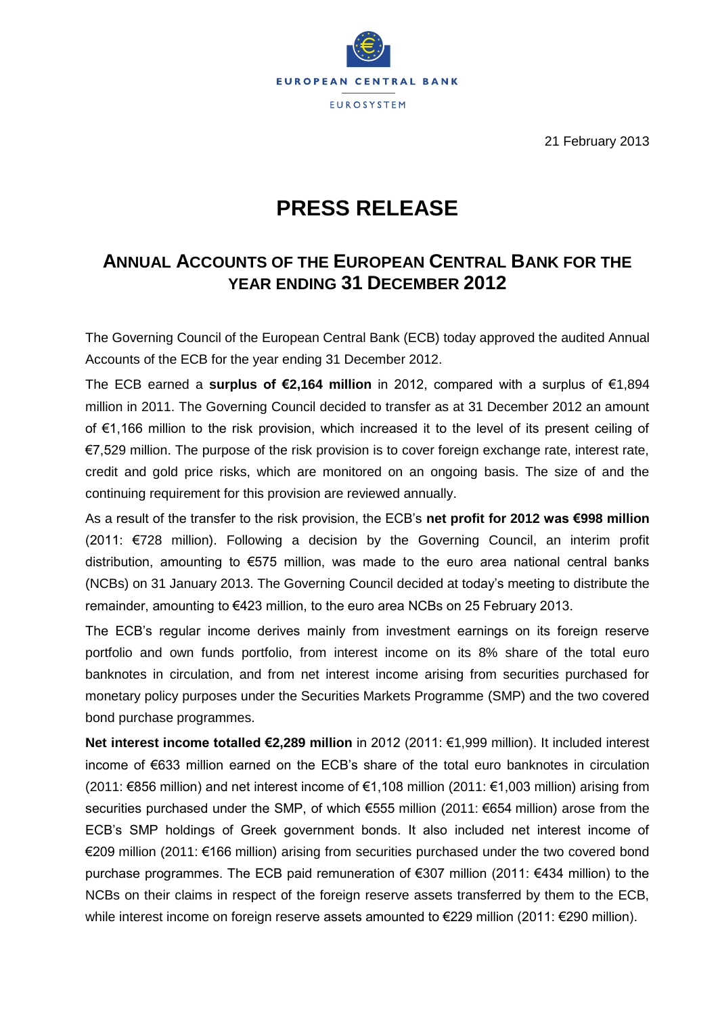

21 February 2013

## **PRESS RELEASE**

## **ANNUAL ACCOUNTS OF THE EUROPEAN CENTRAL BANK FOR THE YEAR ENDING 31 DECEMBER 2012**

The Governing Council of the European Central Bank (ECB) today approved the audited Annual Accounts of the ECB for the year ending 31 December 2012.

The ECB earned a **surplus of €2,164 million** in 2012, compared with a surplus of €1,894 million in 2011. The Governing Council decided to transfer as at 31 December 2012 an amount of €1,166 million to the risk provision, which increased it to the level of its present ceiling of €7,529 million. The purpose of the risk provision is to cover foreign exchange rate, interest rate, credit and gold price risks, which are monitored on an ongoing basis. The size of and the continuing requirement for this provision are reviewed annually.

As a result of the transfer to the risk provision, the ECB's **net profit for 2012 was €998 million** (2011: €728 million). Following a decision by the Governing Council, an interim profit distribution, amounting to €575 million, was made to the euro area national central banks (NCBs) on 31 January 2013. The Governing Council decided at today's meeting to distribute the remainder, amounting to €423 million, to the euro area NCBs on 25 February 2013.

The ECB's regular income derives mainly from investment earnings on its foreign reserve portfolio and own funds portfolio, from interest income on its 8% share of the total euro banknotes in circulation, and from net interest income arising from securities purchased for monetary policy purposes under the Securities Markets Programme (SMP) and the two covered bond purchase programmes.

**Net interest income totalled €2,289 million** in 2012 (2011: €1,999 million). It included interest income of €633 million earned on the ECB's share of the total euro banknotes in circulation (2011: €856 million) and net interest income of €1,108 million (2011: €1,003 million) arising from securities purchased under the SMP, of which €555 million (2011: €654 million) arose from the ECB's SMP holdings of Greek government bonds. It also included net interest income of €209 million (2011: €166 million) arising from securities purchased under the two covered bond purchase programmes. The ECB paid remuneration of €307 million (2011: €434 million) to the NCBs on their claims in respect of the foreign reserve assets transferred by them to the ECB, while interest income on foreign reserve assets amounted to €229 million (2011: €290 million).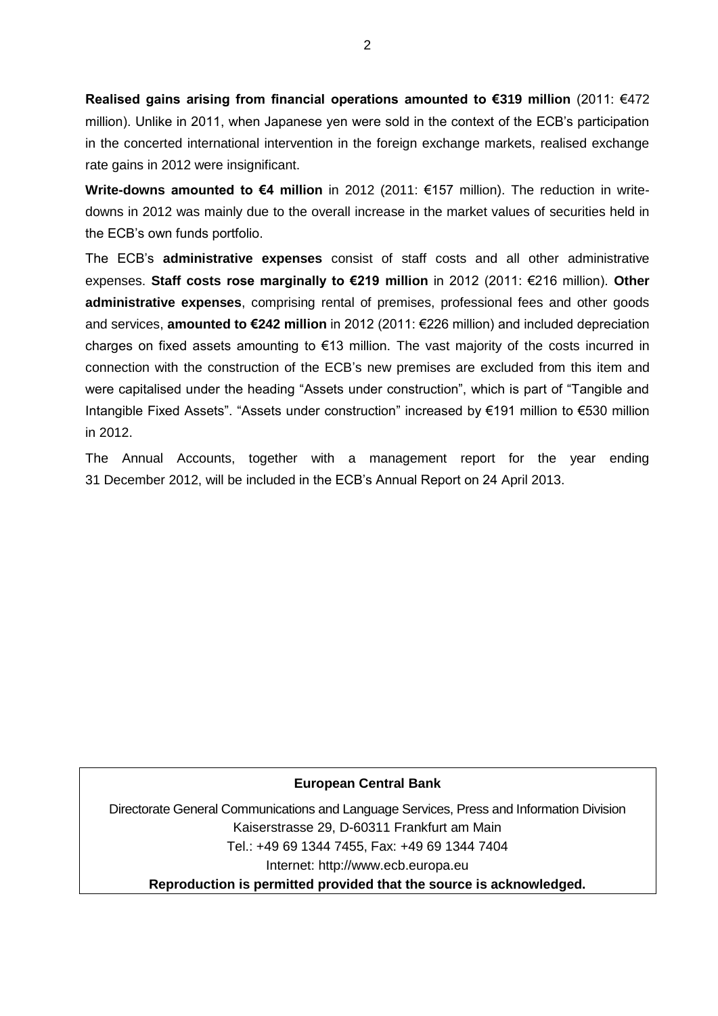**Realised gains arising from financial operations amounted to €319 million** (2011: €472 million). Unlike in 2011, when Japanese yen were sold in the context of the ECB's participation in the concerted international intervention in the foreign exchange markets, realised exchange rate gains in 2012 were insignificant.

**Write-downs amounted to €4 million** in 2012 (2011: €157 million). The reduction in writedowns in 2012 was mainly due to the overall increase in the market values of securities held in the ECB's own funds portfolio.

The ECB's **administrative expenses** consist of staff costs and all other administrative expenses. **Staff costs rose marginally to €219 million** in 2012 (2011: €216 million). **Other administrative expenses**, comprising rental of premises, professional fees and other goods and services, **amounted to €242 million** in 2012 (2011: €226 million) and included depreciation charges on fixed assets amounting to €13 million. The vast majority of the costs incurred in connection with the construction of the ECB's new premises are excluded from this item and were capitalised under the heading "Assets under construction", which is part of "Tangible and Intangible Fixed Assets". "Assets under construction" increased by €191 million to €530 million in 2012.

The Annual Accounts, together with a management report for the year ending 31 December 2012, will be included in the ECB's Annual Report on 24 April 2013.

## **European Central Bank**

Directorate General Communications and Language Services, Press and Information Division Kaiserstrasse 29, D-60311 Frankfurt am Main Tel.: +49 69 1344 7455, Fax: +49 69 1344 7404 Internet: http://www.ecb.europa.eu **Reproduction is permitted provided that the source is acknowledged.**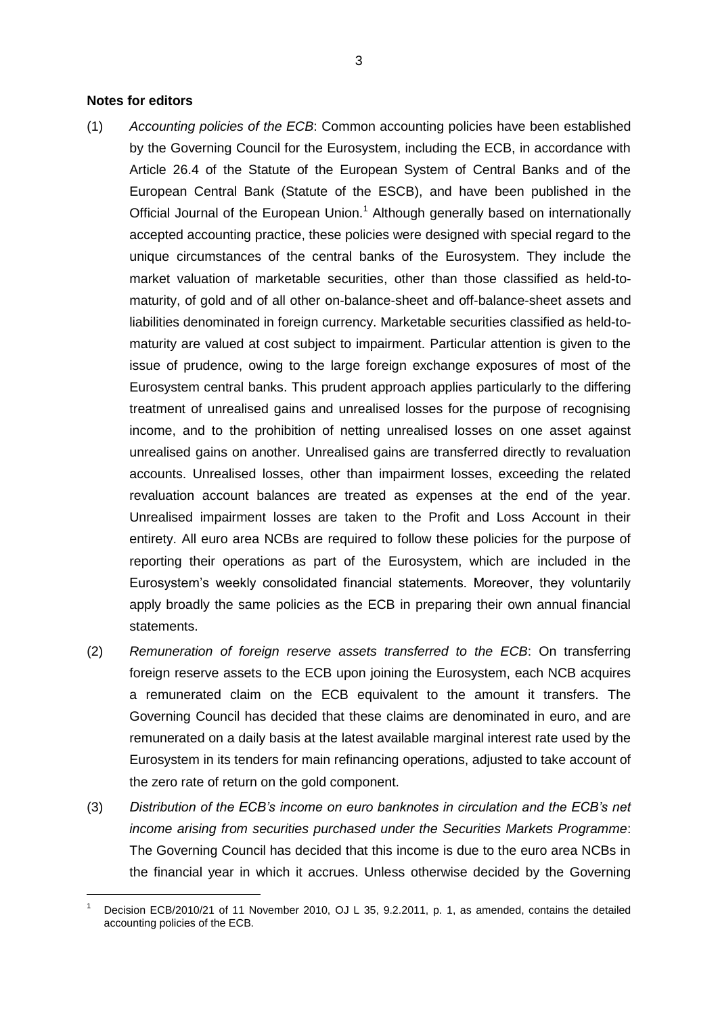## **Notes for editors**

 $\overline{a}$ 

- (1) *Accounting policies of the ECB*: Common accounting policies have been established by the Governing Council for the Eurosystem, including the ECB, in accordance with Article 26.4 of the Statute of the European System of Central Banks and of the European Central Bank (Statute of the ESCB), and have been published in the Official Journal of the European Union.<sup>1</sup> Although generally based on internationally accepted accounting practice, these policies were designed with special regard to the unique circumstances of the central banks of the Eurosystem. They include the market valuation of marketable securities, other than those classified as held-tomaturity, of gold and of all other on-balance-sheet and off-balance-sheet assets and liabilities denominated in foreign currency. Marketable securities classified as held-tomaturity are valued at cost subject to impairment. Particular attention is given to the issue of prudence, owing to the large foreign exchange exposures of most of the Eurosystem central banks. This prudent approach applies particularly to the differing treatment of unrealised gains and unrealised losses for the purpose of recognising income, and to the prohibition of netting unrealised losses on one asset against unrealised gains on another. Unrealised gains are transferred directly to revaluation accounts. Unrealised losses, other than impairment losses, exceeding the related revaluation account balances are treated as expenses at the end of the year. Unrealised impairment losses are taken to the Profit and Loss Account in their entirety. All euro area NCBs are required to follow these policies for the purpose of reporting their operations as part of the Eurosystem, which are included in the Eurosystem's weekly consolidated financial statements. Moreover, they voluntarily apply broadly the same policies as the ECB in preparing their own annual financial statements.
- (2) *Remuneration of foreign reserve assets transferred to the ECB*: On transferring foreign reserve assets to the ECB upon joining the Eurosystem, each NCB acquires a remunerated claim on the ECB equivalent to the amount it transfers. The Governing Council has decided that these claims are denominated in euro, and are remunerated on a daily basis at the latest available marginal interest rate used by the Eurosystem in its tenders for main refinancing operations, adjusted to take account of the zero rate of return on the gold component.
- (3) *Distribution of the ECB's income on euro banknotes in circulation and the ECB's net income arising from securities purchased under the Securities Markets Programme*: The Governing Council has decided that this income is due to the euro area NCBs in the financial year in which it accrues. Unless otherwise decided by the Governing

Decision ECB/2010/21 of 11 November 2010, OJ L 35, 9.2.2011, p. 1, as amended, contains the detailed accounting policies of the ECB.